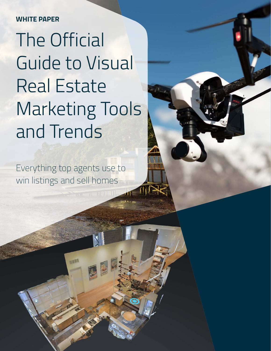#### **WHITE PAPER**

# The Official Guide to Visual Real Estate Marketing Tools and Trends

Everything top agents use to win listings and sell homes

**SHEE**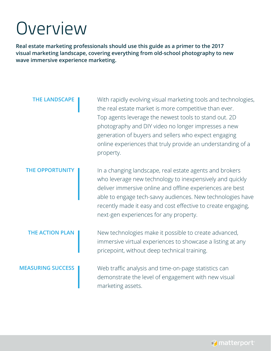### Overview

**Real estate marketing professionals should use this guide as a primer to the 2017 visual marketing landscape, covering everything from old-school photography to new wave immersive experience marketing.**

**THE LANDSCAPE** With rapidly evolving visual marketing tools and technologies, the real estate market is more competitive than ever. Top agents leverage the newest tools to stand out. 2D photography and DIY video no longer impresses a new generation of buyers and sellers who expect engaging online experiences that truly provide an understanding of a property.

**THE OPPORTUNITY** In a changing landscape, real estate agents and brokers who leverage new technology to inexpensively and quickly deliver immersive online and offline experiences are best able to engage tech-savvy audiences. New technologies have recently made it easy and cost effective to create engaging, next-gen experiences for any property.

**THE ACTION PLAN** New technologies make it possible to create advanced, immersive virtual experiences to showcase a listing at any pricepoint, without deep technical training.

**MEASURING SUCCESS** Web traffic analysis and time-on-page statistics can demonstrate the level of engagement with new visual marketing assets.

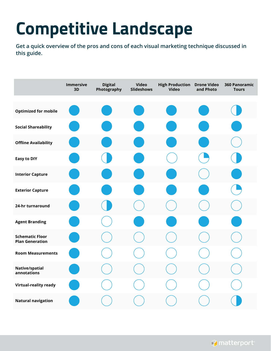### **Competitive Landscape**

**Get a quick overview of the pros and cons of each visual marketing technique discussed in this guide.**

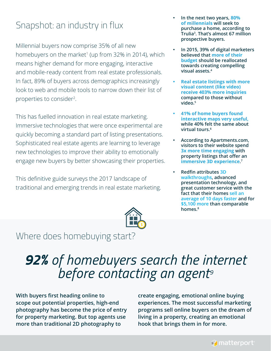### Snapshot: an industry in flux

Millennial buyers now comprise 35% of all new homebuyers on the market<sup>1</sup> (up from 32% in 2014), which means higher demand for more engaging, interactive and mobile-ready content from real estate professionals. In fact, 89% of buyers across demographics increasingly look to web and mobile tools to narrow down their list of properties to consider<sup>2</sup>.

This has fuelled innovation in real estate marketing. Immersive technologies that were once experimental are quickly becoming a standard part of listing presentations. Sophisticated real estate agents are learning to leverage new technologies to improve their ability to emotionally engage new buyers by better showcasing their properties.

This definitive guide surveys the 2017 landscape of traditional and emerging trends in real estate marketing.



- **• In the next two years, 80% of millennials will seek to purchase a home, according to Trulia3 . That's almost 67 million prospective buyers.**
- **• In 2015, 39% of digital marketers believed that more of their budget should be reallocated towards creating compelling visual assets.4**
- **• Real estate listings with more visual content (like video) receive 403% more inquiries compared to those without video.5**
- **• 41% of home buyers found interactive maps very useful, while 40% felt the same about virtual tours.6**
- **• According to Apartments.com, visitors to their website spend 3x more time engaging with property listings that offer an immersive 3D experience. 7**
- **• Redfin attributes 3D walkthroughs, advanced presentation technology, and great customer service with the fact that their homes sell an average of 10 days faster and for \$5,100 more than comparable homes.8**

### Where does homebuying start?

### *92% of homebuyers search the internet before contacting an agent9*

**With buyers first heading online to scope out potential properties, high-end photography has become the price of entry for property marketing. But top agents use more than traditional 2D photography to** 

**create engaging, emotional online buying experiences. The most successful marketing programs sell online buyers on the dream of living in a property, creating an emotional hook that brings them in for more.**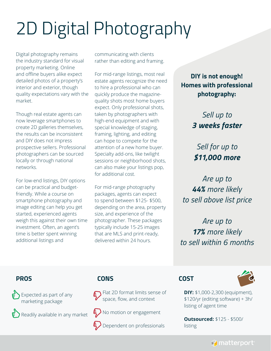## 2D Digital Photography

Digital photography remains the industry standard for visual property marketing. Online and offline buyers alike expect detailed photos of a property's interior and exterior, though quality expectations vary with the market.

Though real estate agents can now leverage smartphones to create 2D galleries themselves, the results can be inconsistent and DIY does not impress prospective sellers. Professional photographers can be sourced locally or through national networks.

For low-end listings, DIY options can be practical and budgetfriendly. While a course on smartphone photography and image editing can help you get started, experienced agents weigh this against their own time investment. Often, an agent's time is better spent winning additional listings and

communicating with clients rather than editing and framing.

For mid-range listings, most real estate agents recognize the need to hire a professional who can quickly produce the magazinequality shots most home buyers expect. Only professional shots, taken by photographers with high-end equipment and with special knowledge of staging, framing, lighting, and editing can hope to compete for the attention of a new home buyer. Specialty add-ons, like twilight sessions or neighborhood shots, can also make your listings pop, for additional cost.

For mid-range photography packages, agents can expect to spend between \$125- \$500, depending on the area, property size, and experience of the photographer. These packages typically include 15-25 images that are MLS and print-ready, delivered within 24 hours.

**DIY is not enough! Homes with professional photography:**

#### *Sell up to 3 weeks faster*

*Sell for up to \$11,000 more*

*Are up to 44% more likely to sell above list price*

*Are up to 17% more likely to sell within 6 months*

#### **PROS**

Expected as part of any marketing package

Readily available in any market

#### **CONS**



 $\epsilon$ ) No motion or engagement

Dependent on professionals

#### **COST**



**DIY:** \$1,000-2,300 (equipment), \$120/yr (editing software) + 3h/ listing of agent time

**Outsourced:** \$125 - \$500/ listing

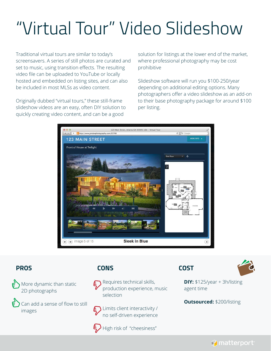## "Virtual Tour" Video Slideshow

Traditional virtual tours are similar to today's screensavers. A series of still photos are curated and set to music, using transition effects. The resulting video file can be uploaded to YouTube or locally hosted and embedded on listing sites, and can also be included in most MLSs as video content.

Originally dubbed "virtual tours," these still-frame slideshow videos are an easy, often DIY solution to quickly creating video content, and can be a good

solution for listings at the lower end of the market, where professional photography may be cost prohibitive

Slideshow software will run you \$100-250/year depending on additional editing options. Many photographers offer a video slideshow as an add-on to their base photography package for around \$100 per listing.



#### **PROS**



Can add a sense of flow to still images

#### **CONS**



Requires technical skills, production experience, music selection

Limits client interactivity / no self-driven experience



 $\bigotimes$  High risk of "cheesiness"

#### **COST**



**DIY:** \$125/year + 3h/listing agent time

**Outsourced:** \$200/listing

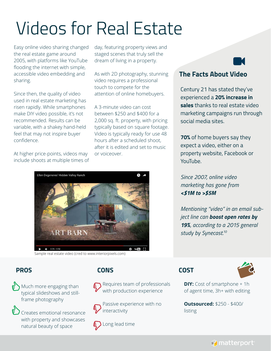## Videos for Real Estate

Easy online video sharing changed the real estate game around 2005, with platforms like YouTube flooding the internet with simple, accessible video embedding and sharing.

Since then, the quality of video used in real estate marketing has risen rapidly. While smartphones make DIY video possible, it's not recommended. Results can be variable, with a shakey hand-held feel that may not inspire buyer confidence.

At higher price-points, videos may include shoots at multiple times of day, featuring property views and staged scenes that truly sell the dream of living in a property.

As with 2D photography, stunning video requires a professional touch to compete for the attention of online homebuyers.

A 3-minute video can cost between \$250 and \$400 for a 2,000 sq. ft. property, with pricing typically based on square footage. Video is typically ready for use 48 hours after a scheduled shoot, after it is edited and set to music or voiceover.



Sample real estate video (cred to www.interiorpixels.com)

#### **PROS**

 $\leftrightarrow$  Much more engaging than typical slideshows and stillframe photography

Creates emotional resonance with property and showcases natural beauty of space

#### **CONS**

Requires team of professionals with production experience

Passive experience with no interactivity



**E** Long lead time

#### **The Facts About Video**

Century 21 has stated they've experienced a **20% increase in sales** thanks to real estate video marketing campaigns run through social media sites.

**70%** of home buyers say they expect a video, either on a property website, Facebook or YouTube.

*Since 2007, online video marketing has gone from <\$1M to >\$5M*

*Mentioning "video" in an email subject line can boost open rates by 19%, according to a 2015 general study by Synecast.10*

#### **COST**



**DIY:** Cost of smartphone + 1h of agent time, 3h+ with editing

**Outsourced:** \$250 - \$400/ listing

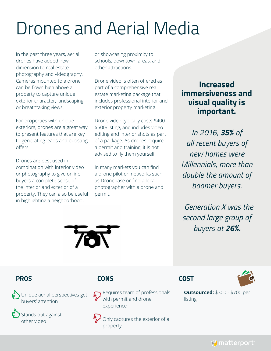### Drones and Aerial Media

In the past three years, aerial drones have added new dimension to real estate photography and videography. Cameras mounted to a drone can be flown high above a property to capture unique exterior character, landscaping, or breathtaking views.

For properties with unique exteriors, drones are a great way to present features that are key to generating leads and boosting offers.

Drones are best used in combination with interior video or photography to give online buyers a complete sense of the interior and exterior of a property. They can also be useful in highlighting a neighborhood,

or showcasing proximity to schools, downtown areas, and other attractions.

Drone video is often offered as part of a comprehensive real estate marketing package that includes professional interior and exterior property marketing.

Drone video typically costs \$400- \$500/listing, and includes video editing and interior shots as part of a package. As drones require a permit and training, it is not advised to fly them yourself.

In many markets you can find a drone pilot on networks such as Dronebase or find a local photographer with a drone and permit.

#### **Increased immersiveness and visual quality is important.**

*In 2016, 35% of all recent buyers of new homes were Millennials, more than double the amount of boomer buyers.*

 *Generation X was the second large group of buyers at 26%.*



#### **PROS**

Unique aerial perspectives get buyers' attention

Stands out against other video

#### **CONS**



Only captures the exterior of a property

#### **COST**



**Outsourced:** \$300 - \$700 per listing

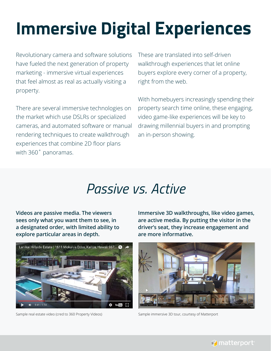## **Immersive Digital Experiences**

Revolutionary camera and software solutions have fueled the next generation of property marketing - immersive virtual experiences that feel almost as real as actually visiting a property.

There are several immersive technologies on the market which use DSLRs or specialized cameras, and automated software or manual rendering techniques to create walkthrough experiences that combine 2D floor plans with 360˚ panoramas.

These are translated into self-driven walkthrough experiences that let online buyers explore every corner of a property, right from the web.

With homebuyers increasingly spending their property search time online, these engaging, video game-like experiences will be key to drawing millennial buyers in and prompting an in-person showing.

### *Passive vs. Active*

**Videos are passive media. The viewers sees only what you want them to see, in a designated order, with limited ability to explore particular areas in depth.** 



Sample real estate video (cred to 360 Property Videos) Sample immersive 3D tour, courtesy of Matterport

**Immersive 3D walkthroughs, like video games, are active media. By putting the visitor in the driver's seat, they increase engagement and are more informative.**



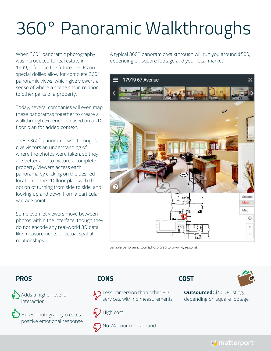### 360° Panoramic Walkthroughs

When 360˚ panoramic photography was introduced to real estate in 1999, it felt like the future. DSLRs on special dollies allow for complete 360˚ panoramic views, which give viewers a sense of where a scene sits in relation to other parts of a property.

Today, several companies will even map these panoramas together to create a walkthrough experience based on a 2D floor plan for added context.

These 360˚ panoramic walkthroughs give visitors an understanding of where the photos were taken, so they are better able to picture a complete property. Viewers access each panorama by clicking on the desired location in the 2D floor plan, with the option of turning from side to side, and looking up and down from a particular vantage point.

Some even let viewers move between photos within the interface, though they do not encode any real-world 3D data like measurements or actual spatial relationships.

A typical 360˚ panoramic walkthrough will run you around \$500, depending on square footage and your local market.



Sample panoramic tour (photo cred to www.viyae.com)

#### **PROS**

Adds a higher level of interaction

Hi-res photography creates positive emotional response

#### **CONS**



Less immersion than other 3D services, with no measurements



No 24-hour turn-around





**Outsourced:** \$500+ listing, depending on square footage

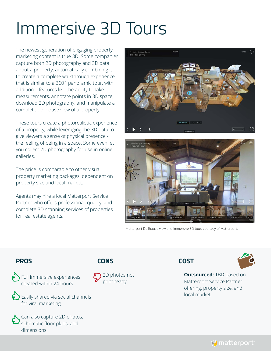### Immersive 3D Tours

The newest generation of engaging property marketing content is true 3D. Some companies capture both 2D photography and 3D data about a property, automatically combining it to create a complete walkthrough experience that is similar to a 360˚ panoramic tour, with additional features like the ability to take measurements, annotate points in 3D space, download 2D photography, and manipulate a complete dollhouse view of a property.

These tours create a photorealistic experience of a property, while leveraging the 3D data to give viewers a sense of physical presence the feeling of being in a space. Some even let you collect 2D photography for use in online galleries.

The price is comparable to other visual property marketing packages, dependent on property size and local market.

Agents may hire a local Matterport Service Partner who offers professional, quality, and complete 3D scanning services of properties for real estate agents.





Matterport Dollhouse view and immersive 3D tour, courtesy of Matterport.

#### **PROS**

Full immersive experiences created within 24 hours

**Easily shared via social channels** for viral marketing



Can also capture 2D photos, schematic floor plans, and dimensions

#### **CONS**







**Outsourced: TBD based on** Matterport Service Partner offering, property size, and local market.

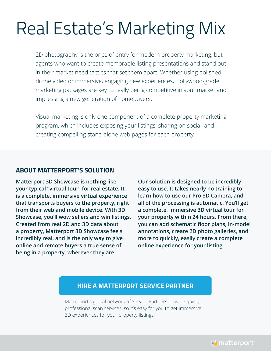### Real Estate's Marketing Mix

2D photography is the price of entry for modern property marketing, but agents who want to create memorable listing presentations and stand out in their market need tactics that set them apart. Whether using polished drone video or immersive, engaging new experiences, Hollywood-grade marketing packages are key to really being competitive in your market and impressing a new generation of homebuyers.

Visual marketing is only one component of a complete property marketing program, which includes exposing your listings, sharing on social, and creating compelling stand-alone web pages for each property.

#### **ABOUT MATTERPORT'S SOLUTION**

**Matterport 3D Showcase is nothing like your typical "virtual tour" for real estate. It is a complete, immersive virtual experience that transports buyers to the property, right from their web and mobile device. With 3D Showcase, you'll wow sellers and win listings. Created from real 2D and 3D data about a property, Matterport 3D Showcase feels incredibly real, and is the only way to give online and remote buyers a true sense of being in a property, wherever they are.**

**Our solution is designed to be incredibly easy to use. It takes nearly no training to learn how to use our Pro 3D Camera, and all of the processing is automatic. You'll get a complete, immersive 3D virtual tour for your property within 24 hours. From there, you can add schematic floor plans, in-model annotations, create 2D photo galleries, and more to quickly, easily create a complete online experience for your listing.**

#### **[HIRE A MATTERPORT SERVICE PARTNER](https://matterport.com/find-a-photographer/)**

Matterport's global network of Service Partners provide quick, professional scan services, so it's easy for you to get immersive 3D experiences for your property listings.